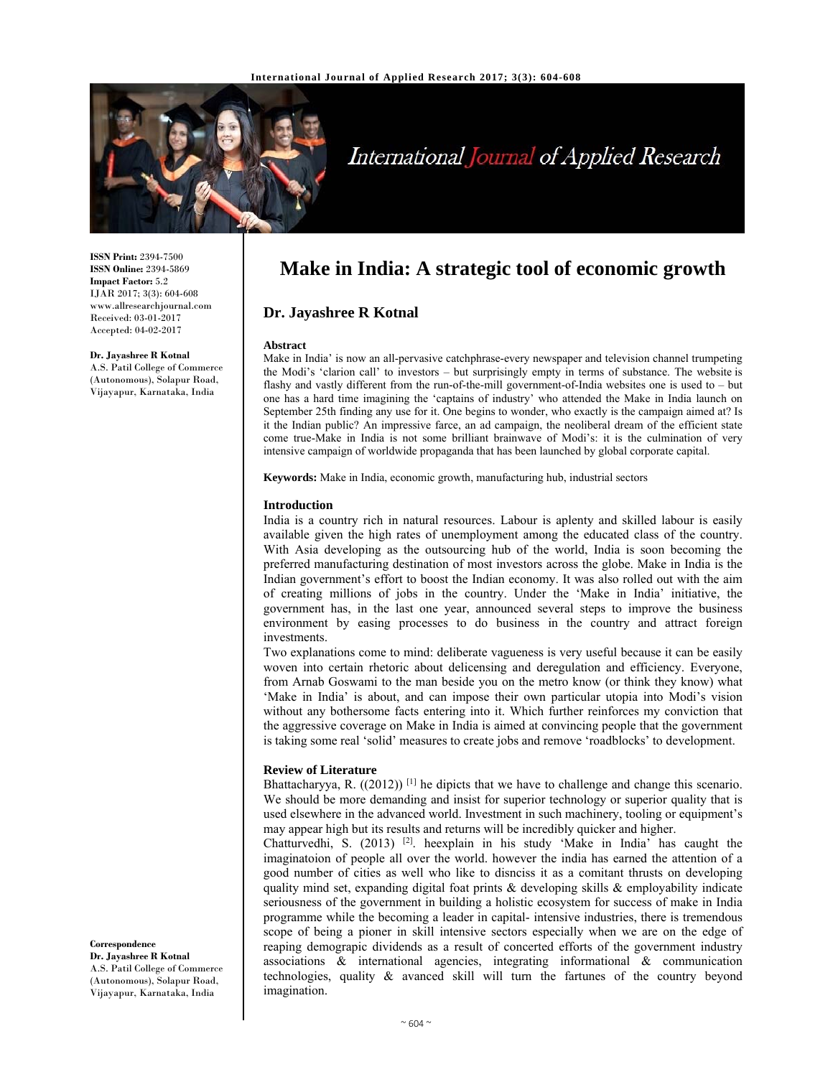

# International Journal of Applied Research

**ISSN Print:** 2394-7500 **ISSN Online:** 2394-5869 **Impact Factor:** 5.2 IJAR 2017; 3(3): 604-608 www.allresearchjournal.com Received: 03-01-2017 Accepted: 04-02-2017

## **Dr. Jayashree R Kotnal**

A.S. Patil College of Commerce (Autonomous), Solapur Road, Vijayapur, Karnataka, India

**Make in India: A strategic tool of economic growth**

## **Dr. Jayashree R Kotnal**

#### **Abstract**

Make in India' is now an all-pervasive catchphrase-every newspaper and television channel trumpeting the Modi's 'clarion call' to investors – but surprisingly empty in terms of substance. The website is flashy and vastly different from the run-of-the-mill government-of-India websites one is used to – but one has a hard time imagining the 'captains of industry' who attended the Make in India launch on September 25th finding any use for it. One begins to wonder, who exactly is the campaign aimed at? Is it the Indian public? An impressive farce, an ad campaign, the neoliberal dream of the efficient state come true-Make in India is not some brilliant brainwave of Modi's: it is the culmination of very intensive campaign of worldwide propaganda that has been launched by global corporate capital.

**Keywords:** Make in India, economic growth, manufacturing hub, industrial sectors

#### **Introduction**

India is a country rich in natural resources. Labour is aplenty and skilled labour is easily available given the high rates of unemployment among the educated class of the country. With Asia developing as the outsourcing hub of the world, India is soon becoming the preferred manufacturing destination of most investors across the globe. Make in India is the Indian government's effort to boost the Indian economy. It was also rolled out with the aim of creating millions of jobs in the country. Under the 'Make in India' initiative, the government has, in the last one year, announced several steps to improve the business environment by easing processes to do business in the country and attract foreign investments.

Two explanations come to mind: deliberate vagueness is very useful because it can be easily woven into certain rhetoric about delicensing and deregulation and efficiency. Everyone, from Arnab Goswami to the man beside you on the metro know (or think they know) what 'Make in India' is about, and can impose their own particular utopia into Modi's vision without any bothersome facts entering into it. Which further reinforces my conviction that the aggressive coverage on Make in India is aimed at convincing people that the government is taking some real 'solid' measures to create jobs and remove 'roadblocks' to development.

#### **Review of Literature**

Bhattacharyya, R. ((2012))<sup>[1]</sup> he dipicts that we have to challenge and change this scenario. We should be more demanding and insist for superior technology or superior quality that is used elsewhere in the advanced world. Investment in such machinery, tooling or equipment's may appear high but its results and returns will be incredibly quicker and higher.

Chatturvedhi, S. (2013) <sup>[2]</sup>. heexplain in his study 'Make in India' has caught the imaginatoion of people all over the world. however the india has earned the attention of a good number of cities as well who like to disnciss it as a comitant thrusts on developing quality mind set, expanding digital foat prints  $\&$  developing skills  $\&$  employability indicate seriousness of the government in building a holistic ecosystem for success of make in India programme while the becoming a leader in capital- intensive industries, there is tremendous scope of being a pioner in skill intensive sectors especially when we are on the edge of reaping demograpic dividends as a result of concerted efforts of the government industry associations & international agencies, integrating informational & communication technologies, quality & avanced skill will turn the fartunes of the country beyond imagination.

**Correspondence Dr. Jayashree R Kotnal**  A.S. Patil College of Commerce (Autonomous), Solapur Road, Vijayapur, Karnataka, India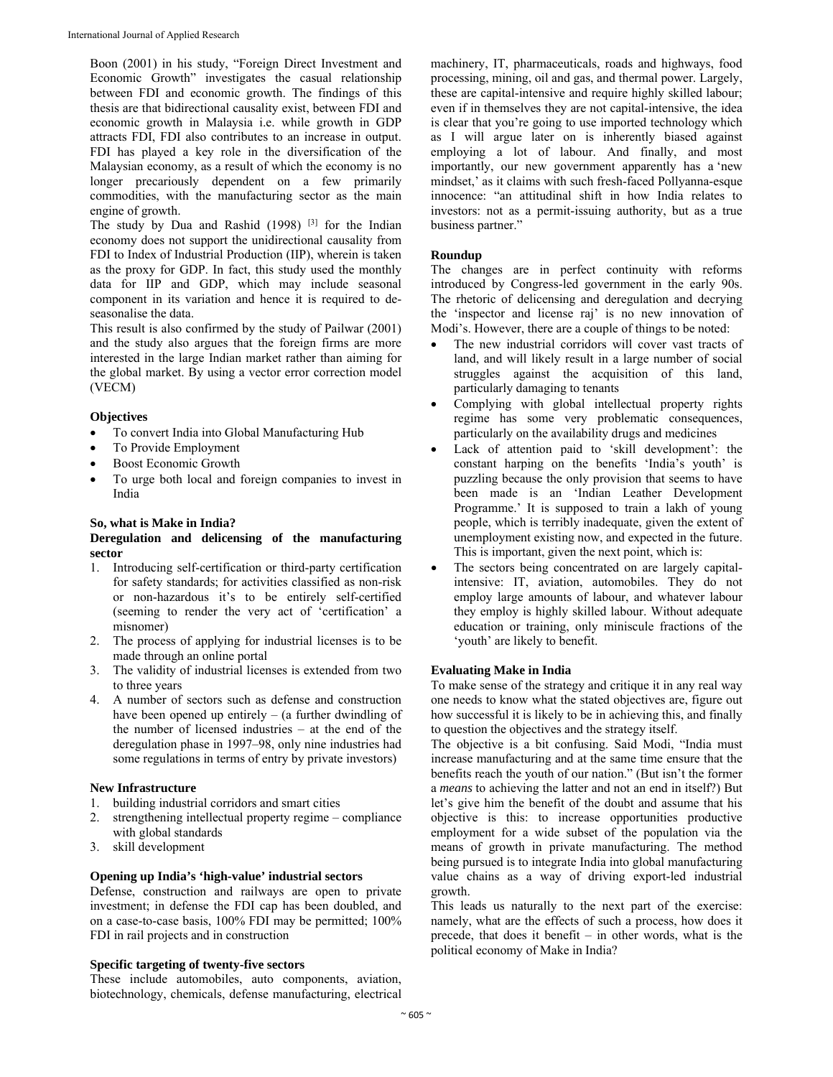Boon (2001) in his study, "Foreign Direct Investment and Economic Growth" investigates the casual relationship between FDI and economic growth. The findings of this thesis are that bidirectional causality exist, between FDI and economic growth in Malaysia i.e. while growth in GDP attracts FDI, FDI also contributes to an increase in output. FDI has played a key role in the diversification of the Malaysian economy, as a result of which the economy is no longer precariously dependent on a few primarily commodities, with the manufacturing sector as the main engine of growth.

The study by Dua and Rashid (1998)<sup>[3]</sup> for the Indian economy does not support the unidirectional causality from FDI to Index of Industrial Production (IIP), wherein is taken as the proxy for GDP. In fact, this study used the monthly data for IIP and GDP, which may include seasonal component in its variation and hence it is required to deseasonalise the data.

This result is also confirmed by the study of Pailwar (2001) and the study also argues that the foreign firms are more interested in the large Indian market rather than aiming for the global market. By using a vector error correction model (VECM)

## **Objectives**

- To convert India into Global Manufacturing Hub
- To Provide Employment
- Boost Economic Growth
- To urge both local and foreign companies to invest in India

## **So, what is Make in India?**

## **Deregulation and delicensing of the manufacturing sector**

- 1. Introducing self-certification or third-party certification for safety standards; for activities classified as non-risk or non-hazardous it's to be entirely self-certified (seeming to render the very act of 'certification' a misnomer)
- 2. The process of applying for industrial licenses is to be made through an online portal
- 3. The validity of industrial licenses is extended from two to three years
- 4. A number of sectors such as defense and construction have been opened up entirely  $-$  (a further dwindling of the number of licensed industries – at the end of the deregulation phase in 1997–98, only nine industries had some regulations in terms of entry by private investors)

## **New Infrastructure**

- 1. building industrial corridors and smart cities
- 2. strengthening intellectual property regime compliance with global standards
- 3. skill development

## **Opening up India's 'high-value' industrial sectors**

Defense, construction and railways are open to private investment; in defense the FDI cap has been doubled, and on a case-to-case basis, 100% FDI may be permitted; 100% FDI in rail projects and in construction

## **Specific targeting of twenty-five sectors**

These include automobiles, auto components, aviation, biotechnology, chemicals, defense manufacturing, electrical machinery, IT, pharmaceuticals, roads and highways, food processing, mining, oil and gas, and thermal power. Largely, these are capital-intensive and require highly skilled labour; even if in themselves they are not capital-intensive, the idea is clear that you're going to use imported technology which as I will argue later on is inherently biased against employing a lot of labour. And finally, and most importantly, our new government apparently has a 'new mindset,' as it claims with such fresh-faced Pollyanna-esque innocence: "an attitudinal shift in how India relates to investors: not as a permit-issuing authority, but as a true business partner."

# **Roundup**

The changes are in perfect continuity with reforms introduced by Congress-led government in the early 90s. The rhetoric of delicensing and deregulation and decrying the 'inspector and license raj' is no new innovation of Modi's. However, there are a couple of things to be noted:

- The new industrial corridors will cover vast tracts of land, and will likely result in a large number of social struggles against the acquisition of this land, particularly damaging to tenants
- Complying with global intellectual property rights regime has some very problematic consequences, particularly on the availability drugs and medicines
- Lack of attention paid to 'skill development': the constant harping on the benefits 'India's youth' is puzzling because the only provision that seems to have been made is an 'Indian Leather Development Programme.' It is supposed to train a lakh of young people, which is terribly inadequate, given the extent of unemployment existing now, and expected in the future. This is important, given the next point, which is:
- The sectors being concentrated on are largely capitalintensive: IT, aviation, automobiles. They do not employ large amounts of labour, and whatever labour they employ is highly skilled labour. Without adequate education or training, only miniscule fractions of the 'youth' are likely to benefit.

# **Evaluating Make in India**

To make sense of the strategy and critique it in any real way one needs to know what the stated objectives are, figure out how successful it is likely to be in achieving this, and finally to question the objectives and the strategy itself.

The objective is a bit confusing. Said Modi, "India must increase manufacturing and at the same time ensure that the benefits reach the youth of our nation." (But isn't the former a *means* to achieving the latter and not an end in itself?) But let's give him the benefit of the doubt and assume that his objective is this: to increase opportunities productive employment for a wide subset of the population via the means of growth in private manufacturing. The method being pursued is to integrate India into global manufacturing value chains as a way of driving export-led industrial growth.

This leads us naturally to the next part of the exercise: namely, what are the effects of such a process, how does it precede, that does it benefit – in other words, what is the political economy of Make in India?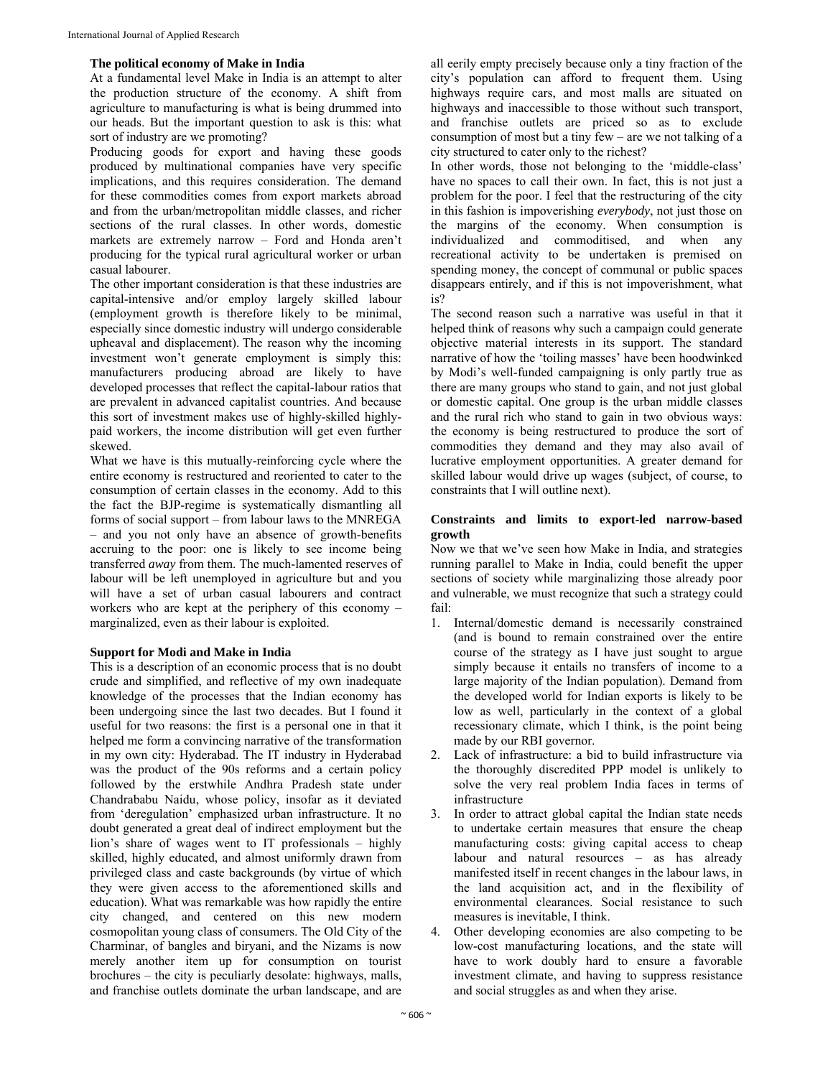## **The political economy of Make in India**

At a fundamental level Make in India is an attempt to alter the production structure of the economy. A shift from agriculture to manufacturing is what is being drummed into our heads. But the important question to ask is this: what sort of industry are we promoting?

Producing goods for export and having these goods produced by multinational companies have very specific implications, and this requires consideration. The demand for these commodities comes from export markets abroad and from the urban/metropolitan middle classes, and richer sections of the rural classes. In other words, domestic markets are extremely narrow – Ford and Honda aren't producing for the typical rural agricultural worker or urban casual labourer.

The other important consideration is that these industries are capital-intensive and/or employ largely skilled labour (employment growth is therefore likely to be minimal, especially since domestic industry will undergo considerable upheaval and displacement). The reason why the incoming investment won't generate employment is simply this: manufacturers producing abroad are likely to have developed processes that reflect the capital-labour ratios that are prevalent in advanced capitalist countries. And because this sort of investment makes use of highly-skilled highlypaid workers, the income distribution will get even further skewed.

What we have is this mutually-reinforcing cycle where the entire economy is restructured and reoriented to cater to the consumption of certain classes in the economy. Add to this the fact the BJP-regime is systematically dismantling all forms of social support – from labour laws to the MNREGA – and you not only have an absence of growth-benefits accruing to the poor: one is likely to see income being transferred *away* from them. The much-lamented reserves of labour will be left unemployed in agriculture but and you will have a set of urban casual labourers and contract workers who are kept at the periphery of this economy – marginalized, even as their labour is exploited.

# **Support for Modi and Make in India**

This is a description of an economic process that is no doubt crude and simplified, and reflective of my own inadequate knowledge of the processes that the Indian economy has been undergoing since the last two decades. But I found it useful for two reasons: the first is a personal one in that it helped me form a convincing narrative of the transformation in my own city: Hyderabad. The IT industry in Hyderabad was the product of the 90s reforms and a certain policy followed by the erstwhile Andhra Pradesh state under Chandrababu Naidu, whose policy, insofar as it deviated from 'deregulation' emphasized urban infrastructure. It no doubt generated a great deal of indirect employment but the lion's share of wages went to IT professionals – highly skilled, highly educated, and almost uniformly drawn from privileged class and caste backgrounds (by virtue of which they were given access to the aforementioned skills and education). What was remarkable was how rapidly the entire city changed, and centered on this new modern cosmopolitan young class of consumers. The Old City of the Charminar, of bangles and biryani, and the Nizams is now merely another item up for consumption on tourist brochures – the city is peculiarly desolate: highways, malls, and franchise outlets dominate the urban landscape, and are

all eerily empty precisely because only a tiny fraction of the city's population can afford to frequent them. Using highways require cars, and most malls are situated on highways and inaccessible to those without such transport, and franchise outlets are priced so as to exclude consumption of most but a tiny few – are we not talking of a city structured to cater only to the richest?

In other words, those not belonging to the 'middle-class' have no spaces to call their own. In fact, this is not just a problem for the poor. I feel that the restructuring of the city in this fashion is impoverishing *everybody*, not just those on the margins of the economy. When consumption is individualized and commoditised, and when any recreational activity to be undertaken is premised on spending money, the concept of communal or public spaces disappears entirely, and if this is not impoverishment, what is?

The second reason such a narrative was useful in that it helped think of reasons why such a campaign could generate objective material interests in its support. The standard narrative of how the 'toiling masses' have been hoodwinked by Modi's well-funded campaigning is only partly true as there are many groups who stand to gain, and not just global or domestic capital. One group is the urban middle classes and the rural rich who stand to gain in two obvious ways: the economy is being restructured to produce the sort of commodities they demand and they may also avail of lucrative employment opportunities. A greater demand for skilled labour would drive up wages (subject, of course, to constraints that I will outline next).

## **Constraints and limits to export-led narrow-based growth**

Now we that we've seen how Make in India, and strategies running parallel to Make in India, could benefit the upper sections of society while marginalizing those already poor and vulnerable, we must recognize that such a strategy could fail:

- 1. Internal/domestic demand is necessarily constrained (and is bound to remain constrained over the entire course of the strategy as I have just sought to argue simply because it entails no transfers of income to a large majority of the Indian population). Demand from the developed world for Indian exports is likely to be low as well, particularly in the context of a global recessionary climate, which I think, is the point being made by our RBI governor.
- 2. Lack of infrastructure: a bid to build infrastructure via the thoroughly discredited PPP model is unlikely to solve the very real problem India faces in terms of infrastructure
- 3. In order to attract global capital the Indian state needs to undertake certain measures that ensure the cheap manufacturing costs: giving capital access to cheap labour and natural resources – as has already manifested itself in recent changes in the labour laws, in the land acquisition act, and in the flexibility of environmental clearances. Social resistance to such measures is inevitable, I think.
- 4. Other developing economies are also competing to be low-cost manufacturing locations, and the state will have to work doubly hard to ensure a favorable investment climate, and having to suppress resistance and social struggles as and when they arise.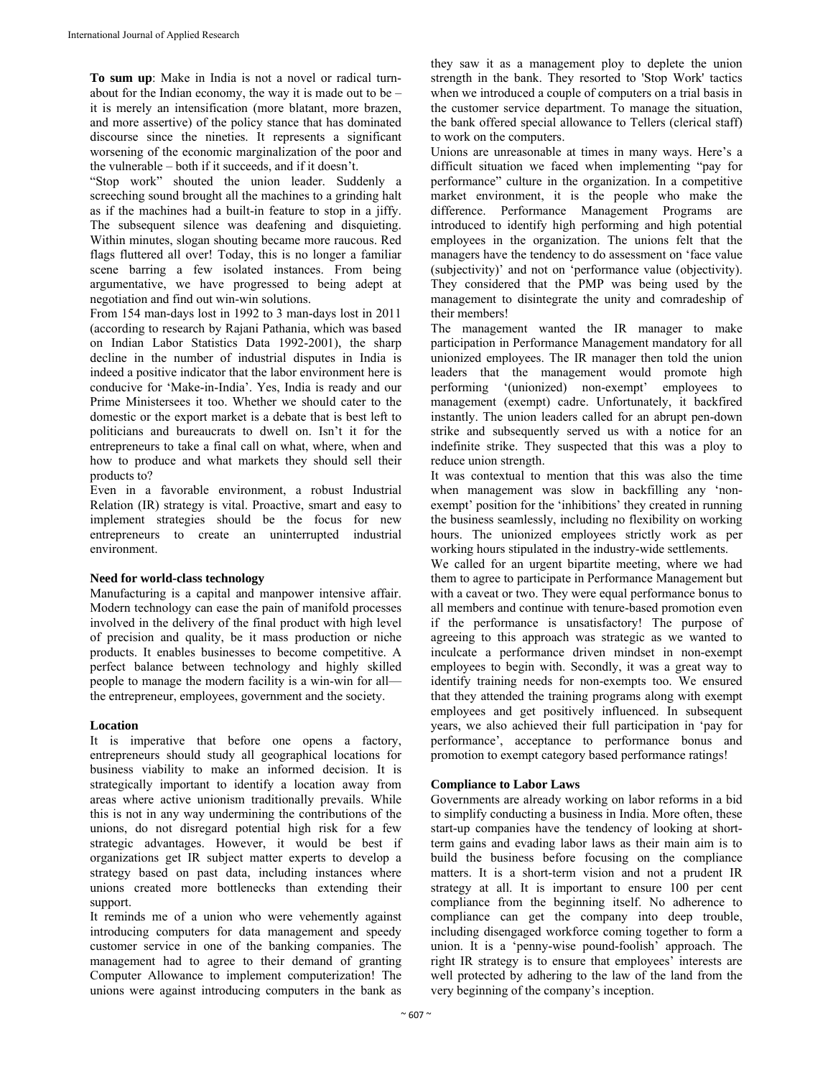**To sum up**: Make in India is not a novel or radical turnabout for the Indian economy, the way it is made out to be – it is merely an intensification (more blatant, more brazen, and more assertive) of the policy stance that has dominated discourse since the nineties. It represents a significant worsening of the economic marginalization of the poor and the vulnerable – both if it succeeds, and if it doesn't.

"Stop work" shouted the union leader. Suddenly a screeching sound brought all the machines to a grinding halt as if the machines had a built-in feature to stop in a jiffy. The subsequent silence was deafening and disquieting. Within minutes, slogan shouting became more raucous. Red flags fluttered all over! Today, this is no longer a familiar scene barring a few isolated instances. From being argumentative, we have progressed to being adept at negotiation and find out win-win solutions.

From 154 man-days lost in 1992 to 3 man-days lost in 2011 (according to research by Rajani Pathania, which was based on Indian Labor Statistics Data 1992-2001), the sharp decline in the number of industrial disputes in India is indeed a positive indicator that the labor environment here is conducive for 'Make-in-India'. Yes, India is ready and our Prime Ministersees it too. Whether we should cater to the domestic or the export market is a debate that is best left to politicians and bureaucrats to dwell on. Isn't it for the entrepreneurs to take a final call on what, where, when and how to produce and what markets they should sell their products to?

Even in a favorable environment, a robust Industrial Relation (IR) strategy is vital. Proactive, smart and easy to implement strategies should be the focus for new entrepreneurs to create an uninterrupted industrial environment.

## **Need for world-class technology**

Manufacturing is a capital and manpower intensive affair. Modern technology can ease the pain of manifold processes involved in the delivery of the final product with high level of precision and quality, be it mass production or niche products. It enables businesses to become competitive. A perfect balance between technology and highly skilled people to manage the modern facility is a win-win for all the entrepreneur, employees, government and the society.

## **Location**

It is imperative that before one opens a factory, entrepreneurs should study all geographical locations for business viability to make an informed decision. It is strategically important to identify a location away from areas where active unionism traditionally prevails. While this is not in any way undermining the contributions of the unions, do not disregard potential high risk for a few strategic advantages. However, it would be best if organizations get IR subject matter experts to develop a strategy based on past data, including instances where unions created more bottlenecks than extending their support.

It reminds me of a union who were vehemently against introducing computers for data management and speedy customer service in one of the banking companies. The management had to agree to their demand of granting Computer Allowance to implement computerization! The unions were against introducing computers in the bank as

they saw it as a management ploy to deplete the union strength in the bank. They resorted to 'Stop Work' tactics when we introduced a couple of computers on a trial basis in the customer service department. To manage the situation, the bank offered special allowance to Tellers (clerical staff) to work on the computers.

Unions are unreasonable at times in many ways. Here's a difficult situation we faced when implementing "pay for performance" culture in the organization. In a competitive market environment, it is the people who make the difference. Performance Management Programs are introduced to identify high performing and high potential employees in the organization. The unions felt that the managers have the tendency to do assessment on 'face value (subjectivity)' and not on 'performance value (objectivity). They considered that the PMP was being used by the management to disintegrate the unity and comradeship of their members!

The management wanted the IR manager to make participation in Performance Management mandatory for all unionized employees. The IR manager then told the union leaders that the management would promote high performing '(unionized) non-exempt' employees to management (exempt) cadre. Unfortunately, it backfired instantly. The union leaders called for an abrupt pen-down strike and subsequently served us with a notice for an indefinite strike. They suspected that this was a ploy to reduce union strength.

It was contextual to mention that this was also the time when management was slow in backfilling any 'nonexempt' position for the 'inhibitions' they created in running the business seamlessly, including no flexibility on working hours. The unionized employees strictly work as per working hours stipulated in the industry-wide settlements.

We called for an urgent bipartite meeting, where we had them to agree to participate in Performance Management but with a caveat or two. They were equal performance bonus to all members and continue with tenure-based promotion even if the performance is unsatisfactory! The purpose of agreeing to this approach was strategic as we wanted to inculcate a performance driven mindset in non-exempt employees to begin with. Secondly, it was a great way to identify training needs for non-exempts too. We ensured that they attended the training programs along with exempt employees and get positively influenced. In subsequent years, we also achieved their full participation in 'pay for performance', acceptance to performance bonus and promotion to exempt category based performance ratings!

## **Compliance to Labor Laws**

Governments are already working on labor reforms in a bid to simplify conducting a business in India. More often, these start-up companies have the tendency of looking at shortterm gains and evading labor laws as their main aim is to build the business before focusing on the compliance matters. It is a short-term vision and not a prudent IR strategy at all. It is important to ensure 100 per cent compliance from the beginning itself. No adherence to compliance can get the company into deep trouble, including disengaged workforce coming together to form a union. It is a 'penny-wise pound-foolish' approach. The right IR strategy is to ensure that employees' interests are well protected by adhering to the law of the land from the very beginning of the company's inception.